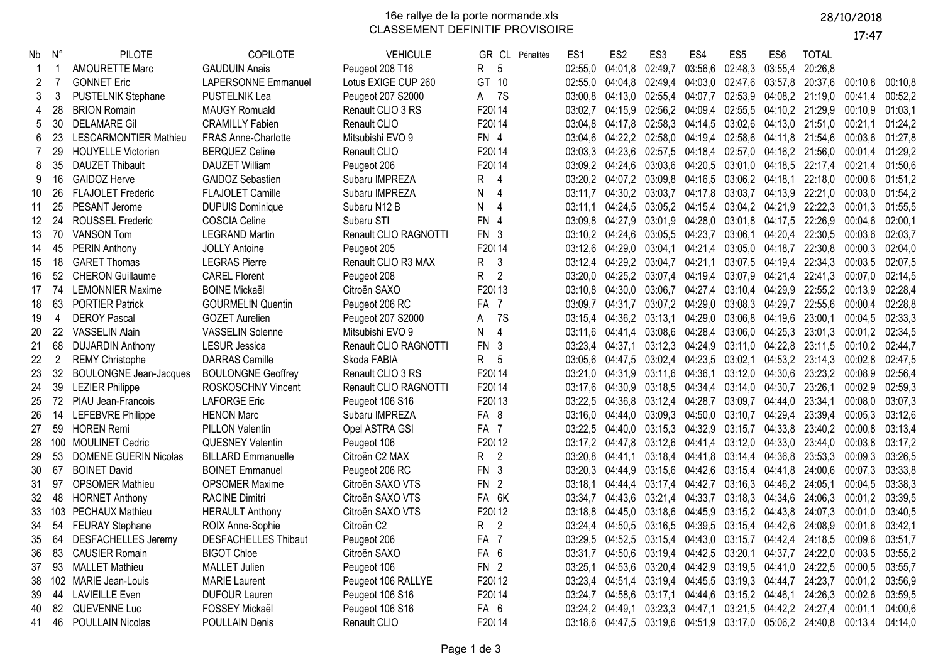16e rallye de la porte normande.xls CLASSEMENT DEFINITIF PROVISOIRE

17:47

| Nb | $N^{\circ}$    | <b>PILOTE</b>                 | COPILOTE                   | <b>VEHICULE</b>       | GR CL Pénalités             | ES <sub>1</sub> | ES <sub>2</sub>         | ES <sub>3</sub> | ES4                     | ES <sub>5</sub>         | ES <sub>6</sub>         | <b>TOTAL</b>                                            |         |         |
|----|----------------|-------------------------------|----------------------------|-----------------------|-----------------------------|-----------------|-------------------------|-----------------|-------------------------|-------------------------|-------------------------|---------------------------------------------------------|---------|---------|
| -1 |                | <b>AMOURETTE Marc</b>         | <b>GAUDUIN Anais</b>       | Peugeot 208 T16       | R<br>-5                     | 02:55,0         | 04:01,8                 | 02:49,7         | 03:56,6                 | 02:48,3                 | 03:55,4                 | 20:26,8                                                 |         |         |
| 2  | 7              | <b>GONNET Eric</b>            | <b>LAPERSONNE Emmanuel</b> | Lotus EXIGE CUP 260   | GT 10                       | 02:55.0         | 04:04,8 02:49,4         |                 |                         | 04:03,0 02:47,6 03:57,8 |                         | 20:37,6 00:10,8                                         |         | 00:10.8 |
| 3  | 3              | PUSTELNIK Stephane            | <b>PUSTELNIK Lea</b>       | Peugeot 207 S2000     | A 7S                        | 03:00,8         | 04:13,0 02:55,4         |                 | 04:07,7                 |                         |                         | 02:53,9 04:08,2 21:19,0 00:41,4                         |         | 00:52,2 |
| 4  | 28             | <b>BRION Romain</b>           | <b>MAUGY Romuald</b>       | Renault CLIO 3 RS     | F20014                      | 03:02,7         | 04:15,9 02:56,2         |                 | 04:09,4                 |                         |                         | 02:55,5 04:10,2 21:29,9 00:10,9                         |         | 01:03.1 |
| 5  | 30             | <b>DELAMARE Gil</b>           | <b>CRAMILLY Fabien</b>     | Renault CLIO          | F20014                      | 03:04,8         | 04:17,8 02:58,3         |                 |                         |                         | 04:14,5 03:02,6 04:13,0 | 21:51,0 00:21,1                                         |         | 01:24,2 |
| 6  | 23             | <b>LESCARMONTIER Mathieu</b>  | FRAS Anne-Charlotte        | Mitsubishi EVO 9      | FN 4                        | 03:04.6         | 04:22,2 02:58,0         |                 |                         |                         |                         | 04:19,4 02:58,6 04:11,8 21:54,6 00:03,6                 |         | 01:27.8 |
|    | 29             | <b>HOUYELLE Victorien</b>     | <b>BERQUEZ Celine</b>      | Renault CLIO          | F20014                      | 03:03.3         | 04:23.6 02:57.5         |                 |                         |                         |                         | 04:18,4 02:57,0 04:16,2 21:56,0 00:01,4                 |         | 01:29.2 |
| 8  | 35             | <b>DAUZET Thibault</b>        | <b>DAUZET William</b>      | Peugeot 206           | F20014                      |                 | 03:09,2 04:24,6 03:03,6 |                 |                         |                         |                         | 04:20,5 03:01,0 04:18,5 22:17,4 00:21,4                 |         | 01:50.6 |
| 9  | 16             | <b>GAIDOZ Herve</b>           | <b>GAIDOZ Sebastien</b>    | Subaru IMPREZA        | R<br>$\overline{4}$         | 03:20,2         | 04:07,2 03:09,8         |                 |                         | 04:16,5 03:06,2 04:18,1 |                         | 22:18,0 00:00,6                                         |         | 01:51.2 |
| 10 | 26             | <b>FLAJOLET Frederic</b>      | FLAJOLET Camille           | Subaru IMPREZA        | N<br>$\overline{4}$         | 03:11,7         | 04:30,2 03:03,7         |                 |                         | 04:17,8 03:03,7 04:13,9 |                         | 22:21,0                                                 | 00:03,0 | 01:54,2 |
| 11 | 25             | PESANT Jerome                 | <b>DUPUIS Dominique</b>    | Subaru N12 B          | N<br>4                      | 03:11.1         | 04:24,5 03:05,2         |                 |                         |                         |                         | 04:15,4 03:04,2 04:21,9 22:22,3 00:01,3                 |         | 01:55.5 |
| 12 | 24             | <b>ROUSSEL Frederic</b>       | <b>COSCIA Celine</b>       | Subaru STI            | <b>FN</b><br>$\overline{4}$ | 03:09,8         | 04:27,9 03:01,9         |                 |                         |                         |                         | 04:28,0 03:01,8 04:17,5 22:26,9                         | 00:04,6 | 02:00,1 |
| 13 | 70             | <b>VANSON Tom</b>             | <b>LEGRAND Martin</b>      | Renault CLIO RAGNOTTI | FN 3                        |                 | 03:10,2 04:24,6 03:05,5 |                 | 04:23,7                 |                         | 03:06,1 04:20,4         | 22:30,5 00:03,6                                         |         | 02:03,7 |
| 14 | 45             | <b>PERIN Anthony</b>          | <b>JOLLY Antoine</b>       | Peugeot 205           | F20014                      | 03:12.6         | 04:29.0 03:04.1         |                 | 04:21.4                 |                         | 03:05.0 04:18.7         | 22:30,8 00:00,3                                         |         | 02:04.0 |
| 15 | 18             | <b>GARET Thomas</b>           | <b>LEGRAS Pierre</b>       | Renault CLIO R3 MAX   | $\mathbf{3}$<br>R           |                 | 03:12,4 04:29,2 03:04,7 |                 | 04:21,1                 |                         |                         | 03:07,5 04:19,4 22:34,3 00:03,5                         |         | 02:07.5 |
| 16 | 52             | <b>CHERON Guillaume</b>       | <b>CAREL Florent</b>       | Peugeot 208           | $\overline{2}$<br>R         | 03:20.0         | 04:25.2 03:07.4         |                 |                         |                         |                         | 04:19,4 03:07,9 04:21,4 22:41,3 00:07,0                 |         | 02:14.5 |
| 17 | 74             | <b>LEMONNIER Maxime</b>       | <b>BOINE Mickaël</b>       | Citroën SAXO          | F20013                      | 03:10,8         | 04:30,0 03:06,7         |                 |                         |                         |                         | 04:27,4 03:10,4 04:29,9 22:55,2 00:13,9                 |         | 02:28,4 |
| 18 | 63             | <b>PORTIER Patrick</b>        | <b>GOURMELIN Quentin</b>   | Peugeot 206 RC        | FA <sub>7</sub>             | 03:09.7         | 04:31,7                 | 03:07.2         | 04:29.0 03:08.3 04:29.7 |                         |                         | 22:55,6 00:00,4                                         |         | 02:28.8 |
| 19 | 4              | <b>DEROY Pascal</b>           | <b>GOZET Aurelien</b>      | Peugeot 207 S2000     | 7S<br>A                     | 03:15,4         | 04:36,2 03:13,1         |                 |                         | 04:29,0 03:06,8 04:19,6 |                         | 23:00,1                                                 | 00:04,5 | 02:33,3 |
| 20 | 22             | <b>VASSELIN Alain</b>         | <b>VASSELIN Solenne</b>    | Mitsubishi EVO 9      | $\overline{4}$<br>N         | 03:11.6         | 04:41.4 03:08.6         |                 |                         |                         | 04:28,4 03:06,0 04:25,3 | 23:01,3 00:01,2                                         |         | 02:34.5 |
| 21 | 68             | <b>DUJARDIN Anthony</b>       | <b>LESUR Jessica</b>       | Renault CLIO RAGNOTTI | $FN$ 3                      | 03:23,4         | 04:37,1 03:12,3         |                 |                         | 04:24,9 03:11,0 04:22,8 |                         | 23:11,5 00:10,2                                         |         | 02:44.7 |
| 22 | $\overline{2}$ | <b>REMY Christophe</b>        | <b>DARRAS Camille</b>      | Skoda FABIA           | R.<br>5                     | 03:05.6         | 04:47,5 03:02,4         |                 | 04:23,5 03:02,1         |                         |                         | 04:53,2 23:14,3 00:02,8                                 |         | 02:47.5 |
| 23 | 32             | <b>BOULONGNE Jean-Jacques</b> | <b>BOULONGNE Geoffrey</b>  | Renault CLIO 3 RS     | F20014                      | 03:21,0         | 04:31,9 03:11,6         |                 | 04:36,1                 | 03:12,0 04:30,6         |                         | 23:23,2 00:08,9                                         |         | 02:56,4 |
| 24 | 39             | <b>LEZIER Philippe</b>        | ROSKOSCHNY Vincent         | Renault CLIO RAGNOTTI | F20014                      | 03:17,6         | 04:30,9 03:18,5         |                 |                         | 04:34,4 03:14,0 04:30,7 |                         | 23:26,1                                                 | 00:02,9 | 02:59.3 |
| 25 |                | 72 PIAU Jean-Francois         | <b>LAFORGE Eric</b>        | Peugeot 106 S16       | F20013                      | 03:22.5         | 04:36.8 03:12.4         |                 |                         | 04:28,7 03:09,7 04:44,0 |                         | 23:34,1                                                 | 00:08.0 | 03:07.3 |
| 26 | 14             | <b>LEFEBVRE Philippe</b>      | <b>HENON Marc</b>          | Subaru IMPREZA        | FA 8                        | 03:16,0         | 04:44,0 03:09,3         |                 |                         |                         | 04:50,0 03:10,7 04:29,4 | 23:39,4 00:05,3                                         |         | 03:12,6 |
| 27 | 59             | <b>HOREN Remi</b>             | <b>PILLON Valentin</b>     | Opel ASTRA GSI        | FA <sub>7</sub>             | 03:22.5         |                         | 04:40.0 03:15.3 |                         | 04:32,9 03:15,7 04:33,8 |                         | 23:40,2 00:00,8                                         |         | 03:13.4 |
| 28 |                | 100 MOULINET Cedric           | <b>QUESNEY Valentin</b>    | Peugeot 106           | F20012                      | 03:17,2         | 04:47,8 03:12,6         |                 |                         | 04:41,4 03:12,0 04:33,0 |                         | 23:44,0                                                 | 00:03,8 | 03:17,2 |
| 29 | 53             | <b>DOMENE GUERIN Nicolas</b>  | <b>BILLARD Emmanuelle</b>  | Citroën C2 MAX        | R.<br>$\overline{2}$        | 03:20.8         |                         |                 |                         |                         |                         | 04:41,1 03:18,4 04:41,8 03:14,4 04:36,8 23:53,3 00:09,3 |         | 03:26.5 |
| 30 | 67             | <b>BOINET David</b>           | <b>BOINET Emmanuel</b>     | Peugeot 206 RC        | FN <sub>3</sub>             | 03:20,3         |                         | 04:44,9 03:15,6 |                         | 04:42,6 03:15,4 04:41,8 |                         | 24:00,6                                                 | 00:07,3 | 03:33,8 |
| 31 | 97             | <b>OPSOMER Mathieu</b>        | <b>OPSOMER Maxime</b>      | Citroën SAXO VTS      | FN <sub>2</sub>             |                 | 03:18,1 04:44,4 03:17,4 |                 | 04:42,7                 |                         | 03:16,3 04:46,2 24:05,1 |                                                         | 00:04,5 | 03:38,3 |
| 32 | 48             | <b>HORNET Anthony</b>         | <b>RACINE Dimitri</b>      | Citroën SAXO VTS      | FA 6K                       | 03:34,7         |                         | 04:43,6 03:21,4 | 04:33,7                 |                         | 03:18,3 04:34,6         | 24:06,3 00:01,2                                         |         | 03:39,5 |
| 33 |                | 103 PECHAUX Mathieu           | <b>HERAULT Anthony</b>     | Citroën SAXO VTS      | F20012                      | 03:18,8         | 04:45,0 03:18,6         |                 |                         | 04:45,9 03:15,2 04:43,8 |                         | 24:07,3                                                 | 00:01,0 | 03:40,5 |
| 34 | 54             | <b>FEURAY Stephane</b>        | ROIX Anne-Sophie           | Citroën C2            | $\overline{2}$<br>R         |                 | 03:24.4 04:50.5 03:16.5 |                 | 04:39,5 03:15,4 04:42,6 |                         |                         | 24:08,9 00:01,6                                         |         | 03:42.1 |
| 35 | 64             | <b>DESFACHELLES Jeremy</b>    | DESFACHELLES Thibaut       | Peugeot 206           | FA <sub>7</sub>             | 03:29.5         | 04:52,5 03:15,4         |                 |                         | 04:43,0 03:15,7 04:42,4 |                         | 24:18,5 00:09,6                                         |         | 03:51,7 |
| 36 | 83             | <b>CAUSIER Romain</b>         | <b>BIGOT Chloe</b>         | Citroën SAXO          | FA <sub>6</sub>             | 03:31.7         |                         | 04:50.6 03:19.4 | 04:42,5 03:20,1         |                         | 04:37,7                 | 24:22,0 00:03,5                                         |         | 03:55.2 |
| 37 | 93             | <b>MALLET Mathieu</b>         | <b>MALLET Julien</b>       | Peugeot 106           | FN <sub>2</sub>             | 03:25,1         | 04:53,6 03:20,4         |                 | 04:42,9                 | 03:19,5                 | 04:41,0                 | 24:22,5                                                 | 00:00,5 | 03:55,7 |
| 38 |                | 102 MARIE Jean-Louis          | <b>MARIE Laurent</b>       | Peugeot 106 RALLYE    | F20012                      | 03:23,4         | 04:51,4 03:19,4         |                 | 04:45,5                 | 03:19,3 04:44,7         |                         | 24:23,7                                                 | 00:01,2 | 03:56.9 |
| 39 | 44             | <b>LAVIEILLE Even</b>         | <b>DUFOUR Lauren</b>       | Peugeot 106 S16       | F20014                      | 03:24,7         | 04:58,6 03:17,1         |                 | 04:44,6                 | 03:15,2 04:46,1         |                         | 24:26,3 00:02,6                                         |         | 03:59,5 |
| 40 | 82             | QUEVENNE Luc                  | FOSSEY Mickaël             | Peugeot 106 S16       | FA <sub>6</sub>             | 03:24,2         | 04:49,1                 | 03:23,3         | 04:47.1                 |                         | 03:21,5 04:42,2 24:27,4 |                                                         | 00:01.1 | 04:00,6 |
| 41 | 46             | <b>POULLAIN Nicolas</b>       | <b>POULLAIN Denis</b>      | Renault CLIO          | F <sub>20</sub> (14         | 03:18,6         | 04:47,5 03:19,6         |                 | 04:51,9                 |                         |                         | 03:17,0 05:06,2 24:40,8                                 | 00:13,4 | 04:14,0 |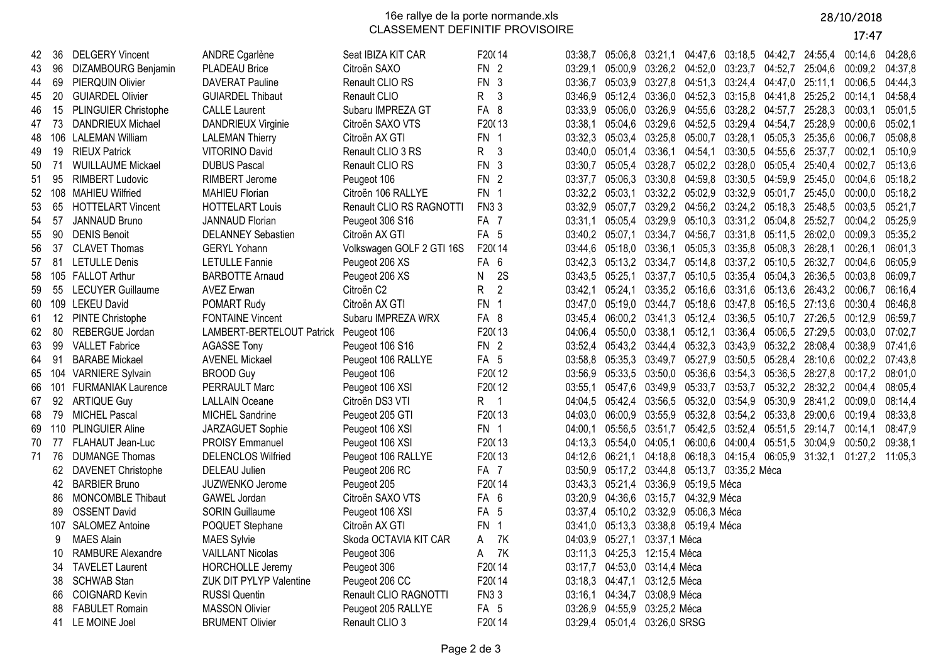16e rallye de la porte normande.xls CLASSEMENT DEFINITIF PROVISOIRE

## 28/10/2018

17:47

| 42    | 36  | <b>DELGERY Vincent</b>     | ANDRE Cgarlène            | Seat IBIZA KIT CAR        | F20014               | 03:38.7 | 05:06,8 03:21,1                                         |                              | 04:47.6                                         | 03:18,5 04:42,7 24:55,4         |                         |         | 00:14.6 04:28.6 |         |
|-------|-----|----------------------------|---------------------------|---------------------------|----------------------|---------|---------------------------------------------------------|------------------------------|-------------------------------------------------|---------------------------------|-------------------------|---------|-----------------|---------|
| 43    | 96  | <b>DIZAMBOURG Benjamin</b> | <b>PLADEAU Brice</b>      | Citroën SAXO              | FN <sub>2</sub>      | 03:29.1 | 05:00,9 03:26,2 04:52,0 03:23,7 04:52,7 25:04,6         |                              |                                                 |                                 |                         |         | 00:09,2 04:37,8 |         |
| 44    | 69  | PIERQUIN Olivier           | <b>DAVERAT Pauline</b>    | Renault CLIO RS           | FN 3                 | 03:36,7 | 05:03,9 03:27,8 04:51,3 03:24,4 04:47,0 25:11,1         |                              |                                                 |                                 |                         |         | 00:06,5         | 04:44,3 |
| 45    | 20  | <b>GUIARDEL Olivier</b>    | <b>GUIARDEL Thibaut</b>   | Renault CLIO              | R<br>3               |         | 03:46,9 05:12,4 03:36,0 04:52,3 03:15,8 04:41,8 25:25,2 |                              |                                                 |                                 |                         |         | 00:14,1         | 04:58,4 |
| 46    | 15  | PLINGUIER Christophe       | <b>CALLE Laurent</b>      | Subaru IMPREZA GT         | FA 8                 | 03:33.9 | 05:06,0 03:26,9                                         |                              | 04:55.6                                         | 03:28,2 04:57,7                 |                         | 25:28.3 | 00:03.1         | 05:01,5 |
| 47    | 73  | DANDRIEUX Michael          | DANDRIEUX Virginie        | Citroën SAXO VTS          | F20013               | 03:38,1 | 05:04,6 03:29,6 04:52,5                                 |                              |                                                 | 03:29,4 04:54,7 25:28,9         |                         |         | 00:00,6         | 05:02,1 |
| 48    | 106 | <b>LALEMAN William</b>     | <b>LALEMAN Thierry</b>    | Citroën AX GTI            | FN 1                 | 03:32,3 | 05:03,4 03:25,8 05:00,7                                 |                              |                                                 | 03:28,1 05:05,3                 |                         | 25:35,6 | 00:06,7         | 05:08,8 |
| 49    | 19  | <b>RIEUX Patrick</b>       | VITORINO David            | Renault CLIO 3 RS         | R<br>$\mathbf{3}$    | 03:40,0 | 05:01,4 03:36,1                                         |                              | 04:54,1                                         |                                 | 03:30,5 04:55,6 25:37,7 |         | 00:02.1         | 05:10.9 |
| 50    | 71  | <b>WUILLAUME Mickael</b>   | <b>DUBUS Pascal</b>       | Renault CLIO RS           | FN 3                 | 03:30,7 | 05:05,4 03:28,7                                         |                              |                                                 | 05:02,2 03:28,0 05:05,4 25:40,4 |                         |         | 00:02,7         | 05:13,6 |
| 51    | 95  | <b>RIMBERT Ludovic</b>     | RIMBERT Jerome            | Peugeot 106               | FN <sub>2</sub>      | 03:37,7 | 05:06,3 03:30,8 04:59,8                                 |                              |                                                 | 03:30,5 04:59,9 25:45,0         |                         |         | 00:04,6         | 05:18,2 |
| 52    | 108 | MAHIEU Wilfried            | <b>MAHIEU Florian</b>     | Citroën 106 RALLYE        | FN 1                 | 03:32,2 | 05:03,1 03:32,2 05:02,9                                 |                              |                                                 | 03:32,9 05:01,7                 |                         | 25:45,0 | 00:00,0         | 05:18.2 |
| 53    | 65  | <b>HOTTELART Vincent</b>   | <b>HOTTELART Louis</b>    | Renault CLIO RS RAGNOTTI  | <b>FN33</b>          | 03:32,9 | 05:07,7 03:29,2 04:56,2 03:24,2 05:18,3 25:48,5         |                              |                                                 |                                 |                         |         | 00:03,5         | 05:21,7 |
| 54    | 57  | JANNAUD Bruno              | <b>JANNAUD Florian</b>    | Peugeot 306 S16           | FA 7                 | 03:31,1 | 05:05,4 03:29,9 05:10,3                                 |                              |                                                 | 03:31,2 05:04,8 25:52,7         |                         |         | 00:04,2         | 05:25,9 |
| 55    | 90  | <b>DENIS Benoit</b>        | <b>DELANNEY Sebastien</b> | Citroën AX GTI            | FA <sub>5</sub>      |         | 03:40,2 05:07,1 03:34,7                                 |                              |                                                 | 04:56,7 03:31,8 05:11,5 26:02,0 |                         |         | 00:09,3         | 05:35,2 |
| 56    | 37  | <b>CLAVET Thomas</b>       | <b>GERYL Yohann</b>       | Volkswagen GOLF 2 GTI 16S | F20014               | 03:44,6 | 05:18,0 03:36,1                                         |                              | 05:05,3                                         | 03:35,8 05:08,3 26:28,1         |                         |         | 00:26,1         | 06:01,3 |
| 57    | 81  | <b>LETULLE Denis</b>       | <b>LETULLE Fannie</b>     | Peugeot 206 XS            | FA <sub>6</sub>      | 03:42,3 | 05:13,2 03:34,7                                         |                              | 05:14,8                                         | 03:37,2 05:10,5 26:32,7         |                         |         | 00:04,6         | 06:05,9 |
| 58    |     | 105 FALLOT Arthur          | <b>BARBOTTE Arnaud</b>    | Peugeot 206 XS            | N<br>2S              | 03:43,5 | 05:25,1 03:37,7                                         |                              | 05:10,5 03:35,4 05:04,3 26:36,5                 |                                 |                         |         | 00:03,8         | 06:09,7 |
| 59    | 55  | <b>LECUYER Guillaume</b>   | <b>AVEZ Erwan</b>         | Citroën C <sub>2</sub>    | R.<br>$\overline{2}$ | 03:42,1 |                                                         |                              | 05:24,1 03:35,2 05:16,6 03:31,6 05:13,6 26:43,2 |                                 |                         |         | 00:06,7         | 06:16,4 |
| 60    |     | 109 LEKEU David            | POMART Rudy               | Citroën AX GTI            | FN <sub>1</sub>      | 03:47,0 | 05:19,0 03:44,7                                         |                              | 05:18,6                                         | 03:47,8 05:16,5 27:13,6         |                         |         | 00:30,4         | 06:46,8 |
| 61    | 12  | <b>PINTE Christophe</b>    | <b>FONTAINE Vincent</b>   | Subaru IMPREZA WRX        | FA 8                 | 03:45,4 | 06:00,2 03:41,3                                         |                              | 05:12,4                                         | 03:36,5 05:10,7                 |                         | 27:26,5 | 00:12,9         | 06:59,7 |
| 62    | 80  | REBERGUE Jordan            | LAMBERT-BERTELOUT Patrick | Peugeot 106               | F20013               | 04:06,4 | 05:50,0 03:38,1                                         |                              | 05:12,1                                         | 03:36,4 05:06,5 27:29,5         |                         |         | 00:03,0         | 07:02,7 |
| 63    | 99  | <b>VALLET Fabrice</b>      | <b>AGASSE Tony</b>        | Peugeot 106 S16           | FN <sub>2</sub>      | 03:52,4 | 05:43,2 03:44,4 05:32,3 03:43,9 05:32,2 28:08,4         |                              |                                                 |                                 |                         |         | 00:38,9         | 07:41,6 |
| 64    | 91  | <b>BARABE Mickael</b>      | <b>AVENEL Mickael</b>     | Peugeot 106 RALLYE        | FA 5                 | 03:58,8 | 05:35,3 03:49,7                                         |                              | 05:27,9                                         | 03:50,5 05:28,4                 |                         | 28:10,6 | 00:02,2         | 07:43,8 |
| 65    |     | 104 VARNIERE Sylvain       | <b>BROOD Guy</b>          | Peugeot 106               | F20012               | 03:56.9 | 05:33,5 03:50,0 05:36,6                                 |                              |                                                 | 03:54,3 05:36,5 28:27,8         |                         |         | 00:17,2         | 08:01.0 |
| 66    | 101 | <b>FURMANIAK Laurence</b>  | PERRAULT Marc             | Peugeot 106 XSI           | F20012               | 03:55,1 | 05:47,6 03:49,9 05:33,7                                 |                              |                                                 | 03:53,7 05:32,2 28:32,2         |                         |         | 00:04,4         | 08:05,4 |
| 67    | 92  | <b>ARTIQUE Guy</b>         | <b>LALLAIN Oceane</b>     | Citroën DS3 VTI           | R 1                  |         | 04:04,5 05:42,4 03:56,5 05:32,0 03:54,9 05:30,9 28:41,2 |                              |                                                 |                                 |                         |         | 00:09,0         | 08:14,4 |
| 68    | 79  | <b>MICHEL Pascal</b>       | MICHEL Sandrine           | Peugeot 205 GTI           | F20013               | 04:03,0 | 06:00,9 03:55,9 05:32,8 03:54,2 05:33,8 29:00,6         |                              |                                                 |                                 |                         |         | 00:19,4         | 08:33,8 |
| 69    | 110 | <b>PLINGUIER Aline</b>     | JARZAGUET Sophie          | Peugeot 106 XSI           | FN 1                 | 04:00,1 | 05:56,5 03:51,7 05:42,5 03:52,4 05:51,5 29:14,7         |                              |                                                 |                                 |                         |         | 00:14,1         | 08:47,9 |
| 70    | 77  | FLAHAUT Jean-Luc           | <b>PROISY Emmanuel</b>    | Peugeot 106 XSI           | F20013               | 04:13,3 | 05:54,0 04:05,1                                         |                              | 06:00,6                                         | 04:00,4 05:51,5 30:04,9         |                         |         | 00:50,2         | 09:38,1 |
| 71 76 |     | <b>DUMANGE Thomas</b>      | <b>DELENCLOS Wilfried</b> | Peugeot 106 RALLYE        | F20013               |         | 04:12,6 06:21,1 04:18,8 06:18,3 04:15,4 06:05,9 31:32,1 |                              |                                                 |                                 |                         |         | 01:27,2 11:05,3 |         |
|       | 62  | <b>DAVENET Christophe</b>  | DELEAU Julien             | Peugeot 206 RC            | FA <sub>7</sub>      | 03:50,9 | 05:17,2 03:44,8 05:13,7 03:35,2 Méca                    |                              |                                                 |                                 |                         |         |                 |         |
|       | 42  | <b>BARBIER Bruno</b>       | <b>JUZWENKO Jerome</b>    | Peugeot 205               | F20014               |         | 03:43,3 05:21,4 03:36,9 05:19,5 Méca                    |                              |                                                 |                                 |                         |         |                 |         |
|       | 86  | <b>MONCOMBLE Thibaut</b>   | GAWEL Jordan              | Citroën SAXO VTS          | FA 6                 | 03:20,9 | 04:36,6 03:15,7 04:32,9 Méca                            |                              |                                                 |                                 |                         |         |                 |         |
|       | 89  | <b>OSSENT David</b>        | <b>SORIN Guillaume</b>    | Peugeot 106 XSI           | FA <sub>5</sub>      | 03:37,4 | 05:10,2 03:32,9 05:06,3 Méca                            |                              |                                                 |                                 |                         |         |                 |         |
|       | 107 | <b>SALOMEZ Antoine</b>     | POQUET Stephane           | Citroën AX GTI            | FN 1                 |         | 03:41,0 05:13,3 03:38,8 05:19,4 Méca                    |                              |                                                 |                                 |                         |         |                 |         |
|       | 9   | <b>MAES Alain</b>          | <b>MAES Sylvie</b>        | Skoda OCTAVIA KIT CAR     | 7K<br>A              | 04:03,9 | 05:27,1 03:37,1 Méca                                    |                              |                                                 |                                 |                         |         |                 |         |
|       | 10  | RAMBURE Alexandre          | <b>VAILLANT Nicolas</b>   | Peugeot 306               | 7K<br>A              | 03:11,3 | 04:25,3 12:15,4 Méca                                    |                              |                                                 |                                 |                         |         |                 |         |
|       | 34  | <b>TAVELET Laurent</b>     | <b>HORCHOLLE Jeremy</b>   | Peugeot 306               | F20014               | 03:17,7 | 04:53,0 03:14,4 Méca                                    |                              |                                                 |                                 |                         |         |                 |         |
|       | 38  | <b>SCHWAB Stan</b>         | ZUK DIT PYLYP Valentine   | Peugeot 206 CC            | F20014               |         |                                                         | 03:18,3 04:47,1 03:12,5 Méca |                                                 |                                 |                         |         |                 |         |
|       | 66  | <b>COIGNARD Kevin</b>      | <b>RUSSI Quentin</b>      | Renault CLIO RAGNOTTI     | <b>FN33</b>          | 03:16,1 | 04:34,7  03:08,9  Méca                                  |                              |                                                 |                                 |                         |         |                 |         |
|       | 88  | <b>FABULET Romain</b>      | <b>MASSON Olivier</b>     | Peugeot 205 RALLYE        | FA <sub>5</sub>      | 03:26,9 | 04:55,9 03:25,2 Méca                                    |                              |                                                 |                                 |                         |         |                 |         |
|       |     |                            |                           |                           |                      |         |                                                         |                              |                                                 |                                 |                         |         |                 |         |